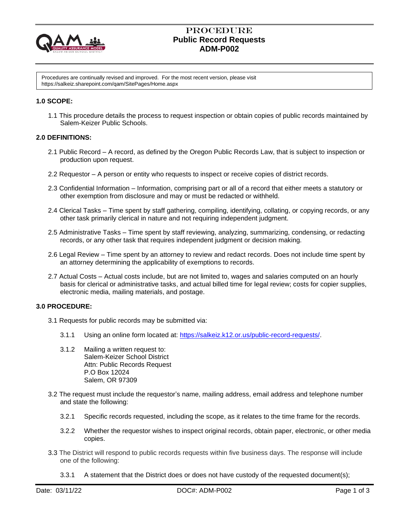

# Procedure  **Public Record Requests ADM-P002**

Procedures are continually revised and improved. For the most recent version, please visit https://salkeiz.sharepoint.com/qam/SitePages/Home.aspx

## **1.0 SCOPE:**

1.1 This procedure details the process to request inspection or obtain copies of public records maintained by Salem-Keizer Public Schools.

## **2.0 DEFINITIONS:**

- 2.1 Public Record A record, as defined by the Oregon Public Records Law, that is subject to inspection or production upon request.
- 2.2 Requestor A person or entity who requests to inspect or receive copies of district records.
- 2.3 Confidential Information Information, comprising part or all of a record that either meets a statutory or other exemption from disclosure and may or must be redacted or withheld.
- 2.4 Clerical Tasks Time spent by staff gathering, compiling, identifying, collating, or copying records, or any other task primarily clerical in nature and not requiring independent judgment.
- 2.5 Administrative Tasks Time spent by staff reviewing, analyzing, summarizing, condensing, or redacting records, or any other task that requires independent judgment or decision making.
- 2.6 Legal Review Time spent by an attorney to review and redact records. Does not include time spent by an attorney determining the applicability of exemptions to records.
- 2.7 Actual Costs Actual costs include, but are not limited to, wages and salaries computed on an hourly basis for clerical or administrative tasks, and actual billed time for legal review; costs for copier supplies, electronic media, mailing materials, and postage.

## **3.0 PROCEDURE:**

- 3.1 Requests for public records may be submitted via:
	- 3.1.1 Using an online form located at: [https://salkeiz.k12.or.us/public-record-requests/.](https://salkeiz.k12.or.us/public-record-requests/)
	- 3.1.2 Mailing a written request to: Salem-Keizer School District Attn: Public Records Request P.O Box 12024 Salem, OR 97309
- 3.2 The request must include the requestor's name, mailing address, email address and telephone number and state the following:
	- 3.2.1 Specific records requested, including the scope, as it relates to the time frame for the records.
	- 3.2.2 Whether the requestor wishes to inspect original records, obtain paper, electronic, or other media copies.
- 3.3 The District will respond to public records requests within five business days. The response will include one of the following:
	- 3.3.1 A statement that the District does or does not have custody of the requested document(s);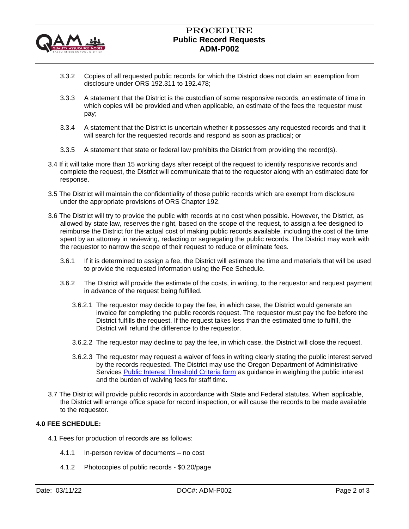

# Procedure  **Public Record Requests ADM-P002**

- 3.3.2 Copies of all requested public records for which the District does not claim an exemption from disclosure under ORS 192.311 to 192.478;
- 3.3.3 A statement that the District is the custodian of some responsive records, an estimate of time in which copies will be provided and when applicable, an estimate of the fees the requestor must pay;
- 3.3.4 A statement that the District is uncertain whether it possesses any requested records and that it will search for the requested records and respond as soon as practical; or
- 3.3.5 A statement that state or federal law prohibits the District from providing the record(s).
- 3.4 If it will take more than 15 working days after receipt of the request to identify responsive records and complete the request, the District will communicate that to the requestor along with an estimated date for response.
- 3.5 The District will maintain the confidentiality of those public records which are exempt from disclosure under the appropriate provisions of ORS Chapter 192.
- 3.6 The District will try to provide the public with records at no cost when possible. However, the District, as allowed by state law, reserves the right, based on the scope of the request, to assign a fee designed to reimburse the District for the actual cost of making public records available, including the cost of the time spent by an attorney in reviewing, redacting or segregating the public records. The District may work with the requestor to narrow the scope of their request to reduce or eliminate fees.
	- 3.6.1 If it is determined to assign a fee, the District will estimate the time and materials that will be used to provide the requested information using the Fee Schedule.
	- 3.6.2 The District will provide the estimate of the costs, in writing, to the requestor and request payment in advance of the request being fulfilled.
		- 3.6.2.1 The requestor may decide to pay the fee, in which case, the District would generate an invoice for completing the public records request. The requestor must pay the fee before the District fulfills the request. If the request takes less than the estimated time to fulfill, the District will refund the difference to the requestor.
		- 3.6.2.2 The requestor may decline to pay the fee, in which case, the District will close the request.
		- 3.6.2.3 The requestor may request a waiver of fees in writing clearly stating the public interest served by the records requested. The District may use the Oregon Department of Administrative Services [Public Interest Threshold Criteria form](https://www.oregon.gov/das/Docs/03-PITC-EvaluationForm.pdf) as guidance in weighing the public interest and the burden of waiving fees for staff time.
- 3.7 The District will provide public records in accordance with State and Federal statutes. When applicable, the District will arrange office space for record inspection, or will cause the records to be made available to the requestor.

# **4.0 FEE SCHEDULE:**

- 4.1 Fees for production of records are as follows:
	- 4.1.1 In-person review of documents no cost
	- 4.1.2 Photocopies of public records \$0.20/page